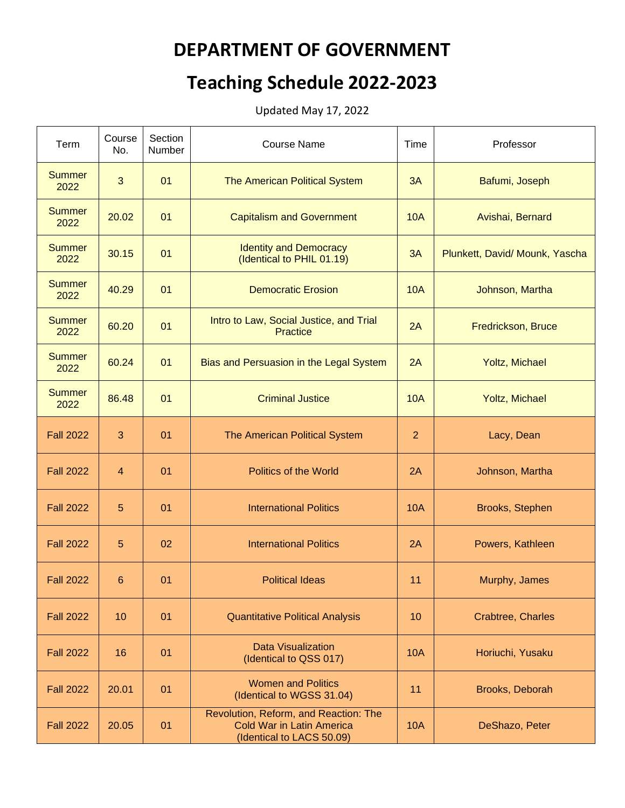## **DEPARTMENT OF GOVERNMENT**

## **Teaching Schedule 2022-2023**

Updated May 17, 2022

| Term                  | Course<br>No. | Section<br>Number | <b>Course Name</b>                                                                                     | Time           | Professor                      |
|-----------------------|---------------|-------------------|--------------------------------------------------------------------------------------------------------|----------------|--------------------------------|
| <b>Summer</b><br>2022 | 3             | 01                | The American Political System                                                                          | 3A             | Bafumi, Joseph                 |
| <b>Summer</b><br>2022 | 20.02         | 01                | <b>Capitalism and Government</b>                                                                       | <b>10A</b>     | Avishai, Bernard               |
| <b>Summer</b><br>2022 | 30.15         | 01                | <b>Identity and Democracy</b><br>(Identical to PHIL 01.19)                                             | 3A             | Plunkett, David/ Mounk, Yascha |
| <b>Summer</b><br>2022 | 40.29         | 01                | <b>Democratic Erosion</b>                                                                              | <b>10A</b>     | Johnson, Martha                |
| <b>Summer</b><br>2022 | 60.20         | 01                | Intro to Law, Social Justice, and Trial<br><b>Practice</b>                                             | 2A             | Fredrickson, Bruce             |
| <b>Summer</b><br>2022 | 60.24         | 01                | Bias and Persuasion in the Legal System                                                                | 2A             | Yoltz, Michael                 |
| <b>Summer</b><br>2022 | 86.48         | 01                | <b>Criminal Justice</b>                                                                                | <b>10A</b>     | Yoltz, Michael                 |
| <b>Fall 2022</b>      | 3             | 01                | The American Political System                                                                          | $\overline{2}$ | Lacy, Dean                     |
| <b>Fall 2022</b>      | 4             | 01                | <b>Politics of the World</b>                                                                           | 2A             | Johnson, Martha                |
| <b>Fall 2022</b>      | 5             | 01                | <b>International Politics</b>                                                                          | <b>10A</b>     | Brooks, Stephen                |
| <b>Fall 2022</b>      | 5             | 02                | <b>International Politics</b>                                                                          | 2A             | Powers, Kathleen               |
| <b>Fall 2022</b>      | 6             | 01                | <b>Political Ideas</b>                                                                                 | 11             | Murphy, James                  |
| <b>Fall 2022</b>      | 10            | 01                | <b>Quantitative Political Analysis</b>                                                                 | 10             | Crabtree, Charles              |
| <b>Fall 2022</b>      | 16            | 01                | <b>Data Visualization</b><br>(Identical to QSS 017)                                                    | <b>10A</b>     | Horiuchi, Yusaku               |
| <b>Fall 2022</b>      | 20.01         | 01                | <b>Women and Politics</b><br>(Identical to WGSS 31.04)                                                 | 11             | Brooks, Deborah                |
| <b>Fall 2022</b>      | 20.05         | 01                | Revolution, Reform, and Reaction: The<br><b>Cold War in Latin America</b><br>(Identical to LACS 50.09) | <b>10A</b>     | DeShazo, Peter                 |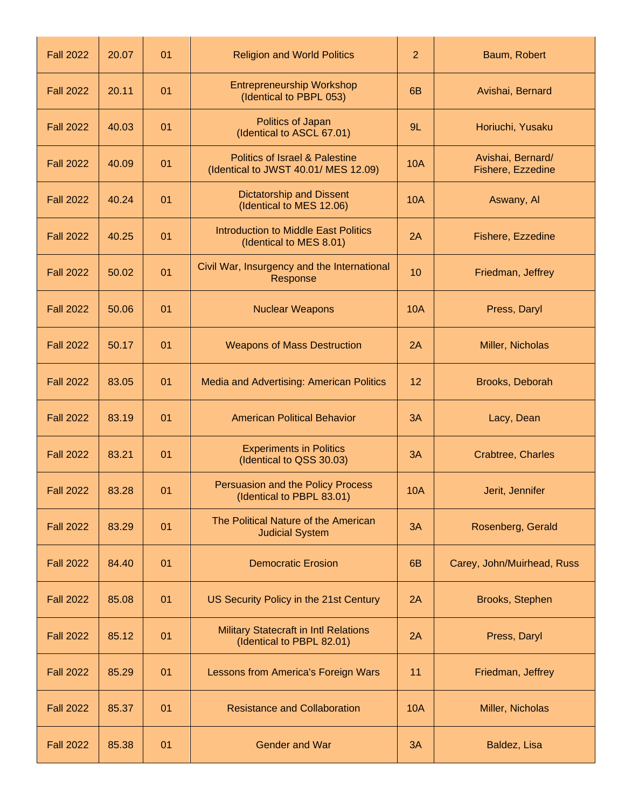| <b>Fall 2022</b> | 20.07 | 01 | <b>Religion and World Politics</b>                                                | $\overline{2}$ | Baum, Robert                           |
|------------------|-------|----|-----------------------------------------------------------------------------------|----------------|----------------------------------------|
| <b>Fall 2022</b> | 20.11 | 01 | <b>Entrepreneurship Workshop</b><br>(Identical to PBPL 053)                       | 6 <sub>B</sub> | Avishai, Bernard                       |
| <b>Fall 2022</b> | 40.03 | 01 | Politics of Japan<br>(Identical to ASCL 67.01)                                    | 9L             | Horiuchi, Yusaku                       |
| <b>Fall 2022</b> | 40.09 | 01 | <b>Politics of Israel &amp; Palestine</b><br>(Identical to JWST 40.01/ MES 12.09) | <b>10A</b>     | Avishai, Bernard/<br>Fishere, Ezzedine |
| <b>Fall 2022</b> | 40.24 | 01 | <b>Dictatorship and Dissent</b><br>(Identical to MES 12.06)                       | <b>10A</b>     | Aswany, Al                             |
| <b>Fall 2022</b> | 40.25 | 01 | <b>Introduction to Middle East Politics</b><br>(Identical to MES 8.01)            | 2A             | Fishere, Ezzedine                      |
| <b>Fall 2022</b> | 50.02 | 01 | Civil War, Insurgency and the International<br>Response                           | 10             | Friedman, Jeffrey                      |
| <b>Fall 2022</b> | 50.06 | 01 | <b>Nuclear Weapons</b>                                                            | <b>10A</b>     | Press, Daryl                           |
| <b>Fall 2022</b> | 50.17 | 01 | <b>Weapons of Mass Destruction</b>                                                | 2A             | Miller, Nicholas                       |
| <b>Fall 2022</b> | 83.05 | 01 | Media and Advertising: American Politics                                          | 12             | Brooks, Deborah                        |
| <b>Fall 2022</b> | 83.19 | 01 | <b>American Political Behavior</b>                                                | 3A             | Lacy, Dean                             |
| <b>Fall 2022</b> | 83.21 | 01 | <b>Experiments in Politics</b><br>(Identical to QSS 30.03)                        | 3A             | Crabtree, Charles                      |
| <b>Fall 2022</b> | 83.28 | 01 | Persuasion and the Policy Process<br>(Identical to PBPL 83.01)                    | <b>10A</b>     | Jerit, Jennifer                        |
| <b>Fall 2022</b> | 83.29 | 01 | The Political Nature of the American<br><b>Judicial System</b>                    | 3A             | Rosenberg, Gerald                      |
| <b>Fall 2022</b> | 84.40 | 01 | <b>Democratic Erosion</b>                                                         | 6B             | Carey, John/Muirhead, Russ             |
| <b>Fall 2022</b> | 85.08 | 01 | US Security Policy in the 21st Century                                            | 2A             | Brooks, Stephen                        |
| <b>Fall 2022</b> | 85.12 | 01 | <b>Military Statecraft in Intl Relations</b><br>(Identical to PBPL 82.01)         | 2A             | Press, Daryl                           |
| <b>Fall 2022</b> | 85.29 | 01 | Lessons from America's Foreign Wars                                               | 11             | Friedman, Jeffrey                      |
| <b>Fall 2022</b> | 85.37 | 01 | <b>Resistance and Collaboration</b>                                               | <b>10A</b>     | Miller, Nicholas                       |
| <b>Fall 2022</b> | 85.38 | 01 | <b>Gender and War</b>                                                             | 3A             | Baldez, Lisa                           |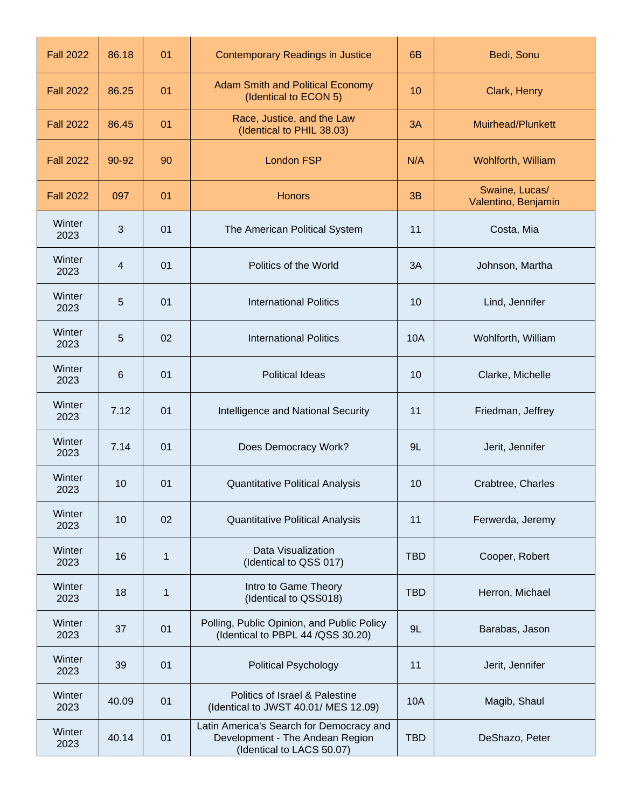| <b>Fall 2022</b> | 86.18        | 01          | <b>Contemporary Readings in Justice</b>                                                                  | 6 <sub>B</sub> | Bedi, Sonu                            |
|------------------|--------------|-------------|----------------------------------------------------------------------------------------------------------|----------------|---------------------------------------|
| <b>Fall 2022</b> | 86.25        | 01          | <b>Adam Smith and Political Economy</b><br>(Identical to ECON 5)                                         | 10             | Clark, Henry                          |
| <b>Fall 2022</b> | 86.45        | 01          | Race, Justice, and the Law<br>(Identical to PHIL 38.03)                                                  | 3A             | Muirhead/Plunkett                     |
| <b>Fall 2022</b> | 90-92        | 90          | <b>London FSP</b>                                                                                        | N/A            | Wohlforth, William                    |
| <b>Fall 2022</b> | 097          | 01          | <b>Honors</b>                                                                                            | 3B             | Swaine, Lucas/<br>Valentino, Benjamin |
| Winter<br>2023   | $\mathbf{3}$ | 01          | The American Political System                                                                            | 11             | Costa, Mia                            |
| Winter<br>2023   | 4            | 01          | Politics of the World                                                                                    | 3A             | Johnson, Martha                       |
| Winter<br>2023   | 5            | 01          | <b>International Politics</b>                                                                            | 10             | Lind, Jennifer                        |
| Winter<br>2023   | 5            | 02          | <b>International Politics</b>                                                                            | 10A            | Wohlforth, William                    |
| Winter<br>2023   | 6            | 01          | <b>Political Ideas</b>                                                                                   | 10             | Clarke, Michelle                      |
| Winter<br>2023   | 7.12         | 01          | Intelligence and National Security                                                                       | 11             | Friedman, Jeffrey                     |
| Winter<br>2023   | 7.14         | 01          | Does Democracy Work?                                                                                     | 9L             | Jerit, Jennifer                       |
| Winter<br>2023   | 10           | 01          | <b>Quantitative Political Analysis</b>                                                                   | 10             | Crabtree, Charles                     |
| Winter<br>2023   | 10           | 02          | <b>Quantitative Political Analysis</b>                                                                   | 11             | Ferwerda, Jeremy                      |
| Winter<br>2023   | 16           | $\mathbf 1$ | Data Visualization<br>(Identical to QSS 017)                                                             | <b>TBD</b>     | Cooper, Robert                        |
| Winter<br>2023   | 18           | 1           | Intro to Game Theory<br>(Identical to QSS018)                                                            | <b>TBD</b>     | Herron, Michael                       |
| Winter<br>2023   | 37           | 01          | Polling, Public Opinion, and Public Policy<br>(Identical to PBPL 44 /QSS 30.20)                          | 9L             | Barabas, Jason                        |
| Winter<br>2023   | 39           | 01          | <b>Political Psychology</b>                                                                              | 11             | Jerit, Jennifer                       |
| Winter<br>2023   | 40.09        | 01          | Politics of Israel & Palestine<br>(Identical to JWST 40.01/ MES 12.09)                                   | 10A            | Magib, Shaul                          |
| Winter<br>2023   | 40.14        | 01          | Latin America's Search for Democracy and<br>Development - The Andean Region<br>(Identical to LACS 50.07) | <b>TBD</b>     | DeShazo, Peter                        |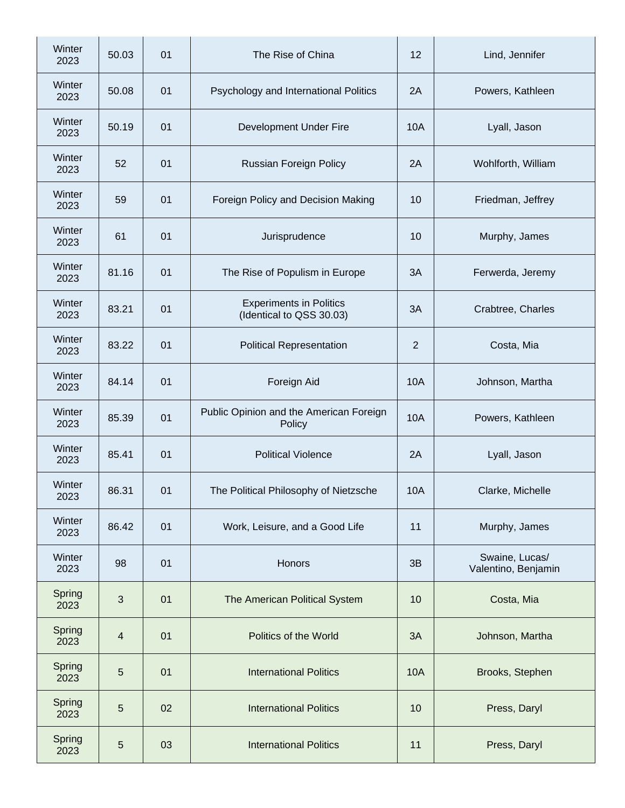| Winter<br>2023 | 50.03          | 01 | The Rise of China                                          | 12             | Lind, Jennifer                        |
|----------------|----------------|----|------------------------------------------------------------|----------------|---------------------------------------|
| Winter<br>2023 | 50.08          | 01 | Psychology and International Politics                      | 2A             | Powers, Kathleen                      |
| Winter<br>2023 | 50.19          | 01 | Development Under Fire                                     | <b>10A</b>     | Lyall, Jason                          |
| Winter<br>2023 | 52             | 01 | <b>Russian Foreign Policy</b>                              | 2A             | Wohlforth, William                    |
| Winter<br>2023 | 59             | 01 | Foreign Policy and Decision Making                         | 10             | Friedman, Jeffrey                     |
| Winter<br>2023 | 61             | 01 | Jurisprudence                                              | 10             | Murphy, James                         |
| Winter<br>2023 | 81.16          | 01 | The Rise of Populism in Europe                             | 3A             | Ferwerda, Jeremy                      |
| Winter<br>2023 | 83.21          | 01 | <b>Experiments in Politics</b><br>(Identical to QSS 30.03) | 3A             | Crabtree, Charles                     |
| Winter<br>2023 | 83.22          | 01 | <b>Political Representation</b>                            | $\overline{2}$ | Costa, Mia                            |
| Winter<br>2023 | 84.14          | 01 | Foreign Aid                                                | <b>10A</b>     | Johnson, Martha                       |
| Winter<br>2023 | 85.39          | 01 | Public Opinion and the American Foreign<br>Policy          | <b>10A</b>     | Powers, Kathleen                      |
| Winter<br>2023 | 85.41          | 01 | <b>Political Violence</b>                                  | 2A             | Lyall, Jason                          |
| Winter<br>2023 | 86.31          | 01 | The Political Philosophy of Nietzsche                      | 10A            | Clarke, Michelle                      |
| Winter<br>2023 | 86.42          | 01 | Work, Leisure, and a Good Life                             | 11             | Murphy, James                         |
| Winter<br>2023 | 98             | 01 | Honors                                                     | 3B             | Swaine, Lucas/<br>Valentino, Benjamin |
| Spring<br>2023 | 3              | 01 | The American Political System                              | 10             | Costa, Mia                            |
| Spring<br>2023 | $\overline{4}$ | 01 | Politics of the World                                      | 3A             | Johnson, Martha                       |
| Spring<br>2023 | 5              | 01 | <b>International Politics</b>                              | <b>10A</b>     | Brooks, Stephen                       |
| Spring<br>2023 | 5              | 02 | <b>International Politics</b>                              | 10             | Press, Daryl                          |
| Spring<br>2023 | $\overline{5}$ | 03 | <b>International Politics</b>                              | 11             | Press, Daryl                          |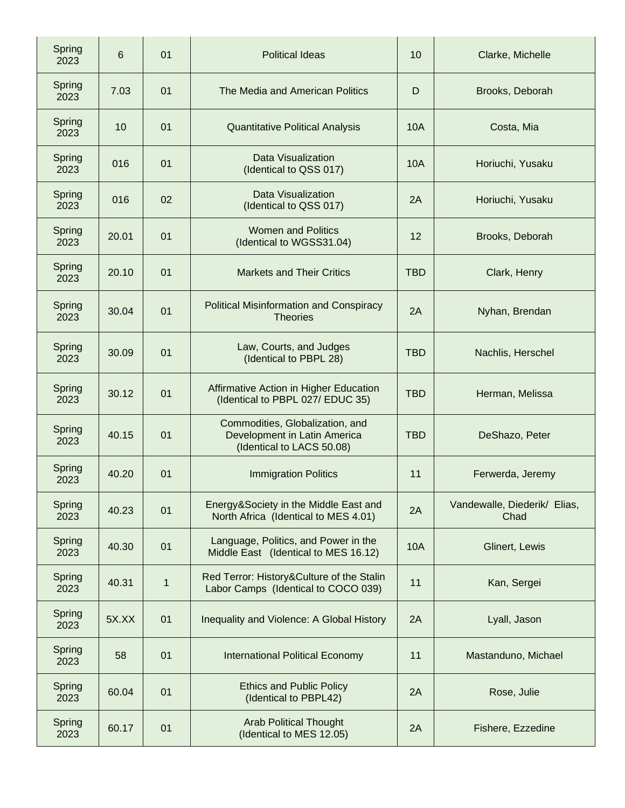| Spring<br>2023 | 6     | 01          | <b>Political Ideas</b>                                                                       | 10         | Clarke, Michelle                     |
|----------------|-------|-------------|----------------------------------------------------------------------------------------------|------------|--------------------------------------|
| Spring<br>2023 | 7.03  | 01          | The Media and American Politics                                                              | D          | Brooks, Deborah                      |
| Spring<br>2023 | 10    | 01          | <b>Quantitative Political Analysis</b>                                                       | 10A        | Costa, Mia                           |
| Spring<br>2023 | 016   | 01          | Data Visualization<br>(Identical to QSS 017)                                                 | <b>10A</b> | Horiuchi, Yusaku                     |
| Spring<br>2023 | 016   | 02          | Data Visualization<br>(Identical to QSS 017)                                                 | 2A         | Horiuchi, Yusaku                     |
| Spring<br>2023 | 20.01 | 01          | <b>Women and Politics</b><br>(Identical to WGSS31.04)                                        | 12         | Brooks, Deborah                      |
| Spring<br>2023 | 20.10 | 01          | <b>Markets and Their Critics</b>                                                             | <b>TBD</b> | Clark, Henry                         |
| Spring<br>2023 | 30.04 | 01          | <b>Political Misinformation and Conspiracy</b><br><b>Theories</b>                            | 2A         | Nyhan, Brendan                       |
| Spring<br>2023 | 30.09 | 01          | Law, Courts, and Judges<br>(Identical to PBPL 28)                                            | <b>TBD</b> | Nachlis, Herschel                    |
| Spring<br>2023 | 30.12 | 01          | Affirmative Action in Higher Education<br>(Identical to PBPL 027/ EDUC 35)                   | <b>TBD</b> | Herman, Melissa                      |
| Spring<br>2023 | 40.15 | 01          | Commodities, Globalization, and<br>Development in Latin America<br>(Identical to LACS 50.08) | <b>TBD</b> | DeShazo, Peter                       |
| Spring<br>2023 | 40.20 | 01          | <b>Immigration Politics</b>                                                                  | 11         | Ferwerda, Jeremy                     |
| Spring<br>2023 | 40.23 | 01          | Energy&Society in the Middle East and<br>North Africa (Identical to MES 4.01)                | 2A         | Vandewalle, Diederik/ Elias,<br>Chad |
| Spring<br>2023 | 40.30 | 01          | Language, Politics, and Power in the<br>Middle East (Identical to MES 16.12)                 | <b>10A</b> | Glinert, Lewis                       |
| Spring<br>2023 | 40.31 | $\mathbf 1$ | Red Terror: History&Culture of the Stalin<br>Labor Camps (Identical to COCO 039)             | 11         | Kan, Sergei                          |
| Spring<br>2023 | 5X.XX | 01          | Inequality and Violence: A Global History                                                    | 2A         | Lyall, Jason                         |
| Spring<br>2023 | 58    | 01          | <b>International Political Economy</b>                                                       | 11         | Mastanduno, Michael                  |
| Spring<br>2023 | 60.04 | 01          | <b>Ethics and Public Policy</b><br>(Identical to PBPL42)                                     | 2A         | Rose, Julie                          |
| Spring<br>2023 | 60.17 | 01          | <b>Arab Political Thought</b><br>(Identical to MES 12.05)                                    | 2A         | Fishere, Ezzedine                    |